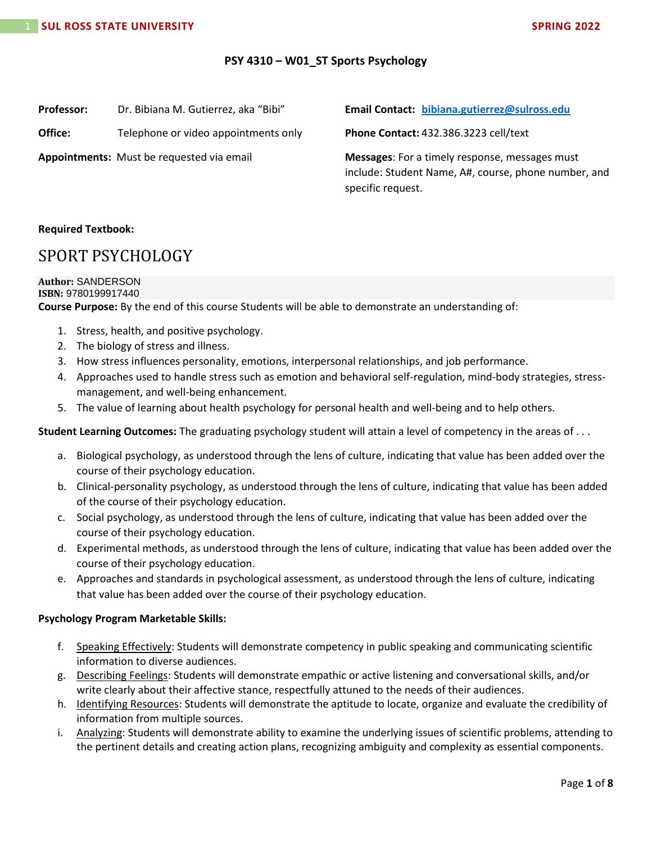## **PSY 4310 – W01\_ST Sports Psychology**

| <b>Professor:</b> |  | Dr. Bibiana M. Gutierrez, aka "Bibi" |
|-------------------|--|--------------------------------------|
|-------------------|--|--------------------------------------|

**Office:** Telephone or video appointments only

**Appointments:** Must be requested via email

**Email Contact: [bibiana.gutierrez@sulross.edu](mailto:bibiana.gutierrez@sulross.edu)** 

**Phone Contact:** 432.386.3223 cell/text

**Messages**: For a timely response, messages must include: Student Name, A#, course, phone number, and specific request.

## **Required Textbook:**

## SPORT PSYCHOLOGY

#### **Author:** SANDERSON **ISBN:** 9780199917440

**Course Purpose:** By the end of this course Students will be able to demonstrate an understanding of:

- 1. Stress, health, and positive psychology.
- 2. The biology of stress and illness.
- 3. How stress influences personality, emotions, interpersonal relationships, and job performance.
- 4. Approaches used to handle stress such as emotion and behavioral self-regulation, mind-body strategies, stressmanagement, and well-being enhancement.
- 5. The value of learning about health psychology for personal health and well-being and to help others.

**Student Learning Outcomes:** The graduating psychology student will attain a level of competency in the areas of . . .

- a. Biological psychology, as understood through the lens of culture, indicating that value has been added over the course of their psychology education.
- b. Clinical-personality psychology, as understood through the lens of culture, indicating that value has been added of the course of their psychology education.
- c. Social psychology, as understood through the lens of culture, indicating that value has been added over the course of their psychology education.
- d. Experimental methods, as understood through the lens of culture, indicating that value has been added over the course of their psychology education.
- e. Approaches and standards in psychological assessment, as understood through the lens of culture, indicating that value has been added over the course of their psychology education.

## **Psychology Program Marketable Skills:**

- f. Speaking Effectively: Students will demonstrate competency in public speaking and communicating scientific information to diverse audiences.
- g. Describing Feelings: Students will demonstrate empathic or active listening and conversational skills, and/or write clearly about their affective stance, respectfully attuned to the needs of their audiences.
- h. Identifying Resources: Students will demonstrate the aptitude to locate, organize and evaluate the credibility of information from multiple sources.
- i. Analyzing: Students will demonstrate ability to examine the underlying issues of scientific problems, attending to the pertinent details and creating action plans, recognizing ambiguity and complexity as essential components.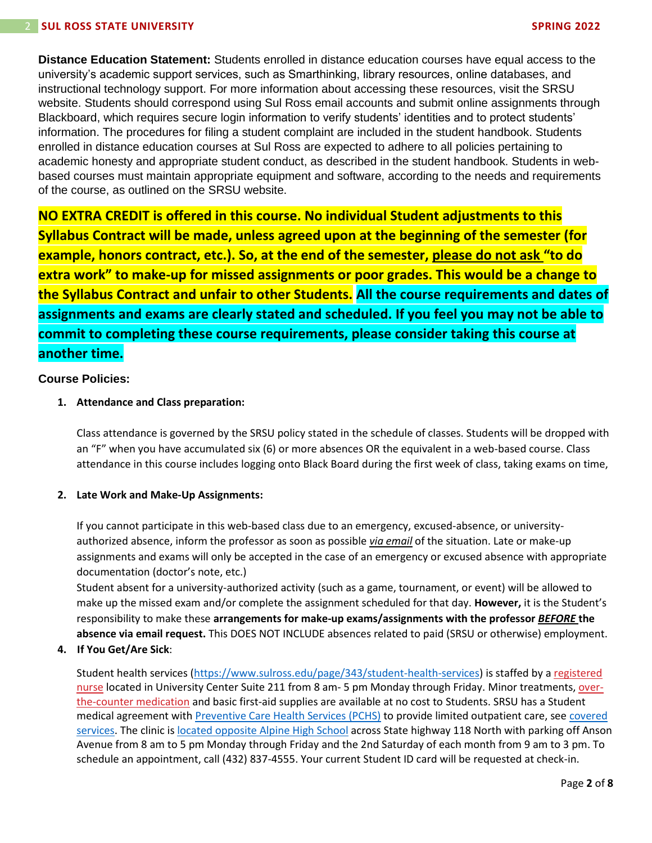**Distance Education Statement:** Students enrolled in distance education courses have equal access to the university's academic support services, such as Smarthinking, library resources, online databases, and instructional technology support. For more information about accessing these resources, visit the SRSU website. Students should correspond using Sul Ross email accounts and submit online assignments through Blackboard, which requires secure login information to verify students' identities and to protect students' information. The procedures for filing a student complaint are included in the student handbook. Students enrolled in distance education courses at Sul Ross are expected to adhere to all policies pertaining to academic honesty and appropriate student conduct, as described in the student handbook. Students in webbased courses must maintain appropriate equipment and software, according to the needs and requirements of the course, as outlined on the SRSU website.

**NO EXTRA CREDIT is offered in this course. No individual Student adjustments to this Syllabus Contract will be made, unless agreed upon at the beginning of the semester (for example, honors contract, etc.). So, at the end of the semester, please do not ask "to do extra work" to make-up for missed assignments or poor grades. This would be a change to the Syllabus Contract and unfair to other Students. All the course requirements and dates of assignments and exams are clearly stated and scheduled. If you feel you may not be able to commit to completing these course requirements, please consider taking this course at another time.**

## **Course Policies:**

## **1. Attendance and Class preparation:**

Class attendance is governed by the SRSU policy stated in the schedule of classes. Students will be dropped with an "F" when you have accumulated six (6) or more absences OR the equivalent in a web-based course. Class attendance in this course includes logging onto Black Board during the first week of class, taking exams on time,

## **2. Late Work and Make-Up Assignments:**

If you cannot participate in this web-based class due to an emergency, excused-absence, or universityauthorized absence, inform the professor as soon as possible *via email* of the situation. Late or make-up assignments and exams will only be accepted in the case of an emergency or excused absence with appropriate documentation (doctor's note, etc.)

Student absent for a university-authorized activity (such as a game, tournament, or event) will be allowed to make up the missed exam and/or complete the assignment scheduled for that day. **However,** it is the Student's responsibility to make these **arrangements for make-up exams/assignments with the professor** *BEFORE* **the absence via email request.** This DOES NOT INCLUDE absences related to paid (SRSU or otherwise) employment.

## **4. If You Get/Are Sick**:

Student health services [\(https://www.sulross.edu/page/343/student-health-services\)](https://www.sulross.edu/page/343/student-health-services) is staffed by a [registered](https://www.sulross.edu/faculty-and-staff/945/health-services-coordinator)  [nurse](https://www.sulross.edu/faculty-and-staff/945/health-services-coordinator) located in University Center Suite 211 from 8 am- 5 pm Monday through Friday. Minor treatments, [over](http://www.sulross.edu/page/1462/medications)[the-counter medication](http://www.sulross.edu/page/1462/medications) and basic first-aid supplies are available at no cost to Students. SRSU has a Student medical agreement with [Preventive Care Health Services \(PCHS\)](http://www.pchsmedclinic.org/locations) to provide limited outpatient care, see covered [services.](http://www.sulross.edu/page/1471/preventive-care-health-services) The clinic is [located opposite Alpine High School](http://www.sulross.edu/gallery-image/4341/health-service-locations) across State highway 118 North with parking off Anson Avenue from 8 am to 5 pm Monday through Friday and the 2nd Saturday of each month from 9 am to 3 pm. To schedule an appointment, call (432) 837-4555. Your current Student ID card will be requested at check-in.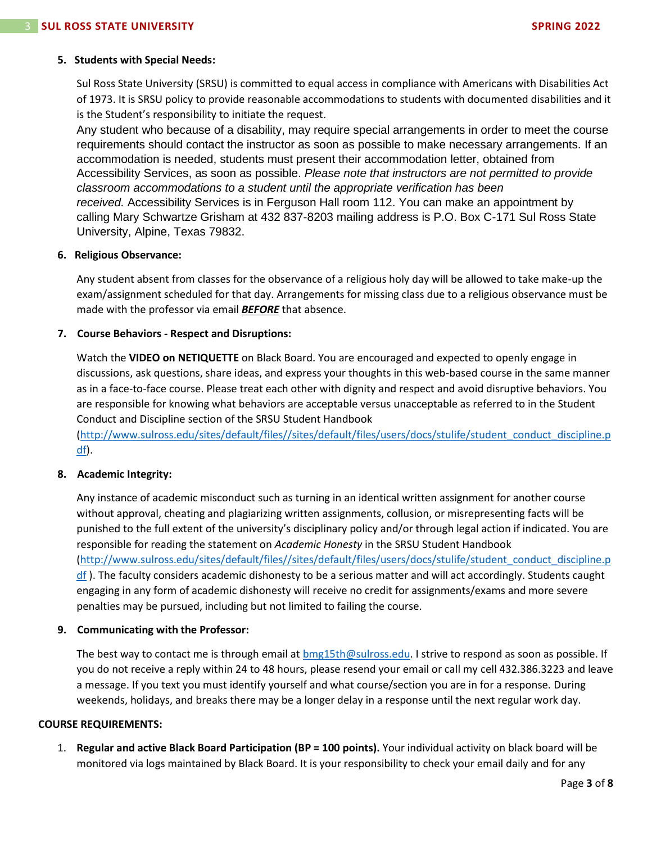## **5. Students with Special Needs:**

Sul Ross State University (SRSU) is committed to equal access in compliance with Americans with Disabilities Act of 1973. It is SRSU policy to provide reasonable accommodations to students with documented disabilities and it is the Student's responsibility to initiate the request.

Any student who because of a disability, may require special arrangements in order to meet the course requirements should contact the instructor as soon as possible to make necessary arrangements. If an accommodation is needed, students must present their accommodation letter, obtained from Accessibility Services, as soon as possible. *Please note that instructors are not permitted to provide classroom accommodations to a student until the appropriate verification has been received.* Accessibility Services is in Ferguson Hall room 112. You can make an appointment by calling Mary Schwartze Grisham at 432 837-8203 mailing address is P.O. Box C-171 Sul Ross State University, Alpine, Texas 79832.

## **6. Religious Observance:**

Any student absent from classes for the observance of a religious holy day will be allowed to take make-up the exam/assignment scheduled for that day. Arrangements for missing class due to a religious observance must be made with the professor via email *BEFORE* that absence.

## **7. Course Behaviors - Respect and Disruptions:**

Watch the **VIDEO on NETIQUETTE** on Black Board. You are encouraged and expected to openly engage in discussions, ask questions, share ideas, and express your thoughts in this web-based course in the same manner as in a face-to-face course. Please treat each other with dignity and respect and avoid disruptive behaviors. You are responsible for knowing what behaviors are acceptable versus unacceptable as referred to in the Student Conduct and Discipline section of the SRSU Student Handbook

[\(http://www.sulross.edu/sites/default/files//sites/default/files/users/docs/stulife/student\\_conduct\\_discipline.p](http://www.sulross.edu/sites/default/files/sites/default/files/users/docs/stulife/student_conduct_discipline.pdf) [df\)](http://www.sulross.edu/sites/default/files/sites/default/files/users/docs/stulife/student_conduct_discipline.pdf).

## **8. Academic Integrity:**

Any instance of academic misconduct such as turning in an identical written assignment for another course without approval, cheating and plagiarizing written assignments, collusion, or misrepresenting facts will be punished to the full extent of the university's disciplinary policy and/or through legal action if indicated. You are responsible for reading the statement on *Academic Honesty* in the SRSU Student Handbook [\(http://www.sulross.edu/sites/default/files//sites/default/files/users/docs/stulife/student\\_conduct\\_discipline.p](http://www.sulross.edu/sites/default/files/sites/default/files/users/docs/stulife/student_conduct_discipline.pdf) [df](http://www.sulross.edu/sites/default/files/sites/default/files/users/docs/stulife/student_conduct_discipline.pdf) ). The faculty considers academic dishonesty to be a serious matter and will act accordingly. Students caught engaging in any form of academic dishonesty will receive no credit for assignments/exams and more severe penalties may be pursued, including but not limited to failing the course.

#### **9. Communicating with the Professor:**

The best way to contact me is through email at **bmg15th@sulross.edu.** I strive to respond as soon as possible. If you do not receive a reply within 24 to 48 hours, please resend your email or call my cell 432.386.3223 and leave a message. If you text you must identify yourself and what course/section you are in for a response. During weekends, holidays, and breaks there may be a longer delay in a response until the next regular work day.

#### **COURSE REQUIREMENTS:**

1. **Regular and active Black Board Participation (BP = 100 points).** Your individual activity on black board will be monitored via logs maintained by Black Board. It is your responsibility to check your email daily and for any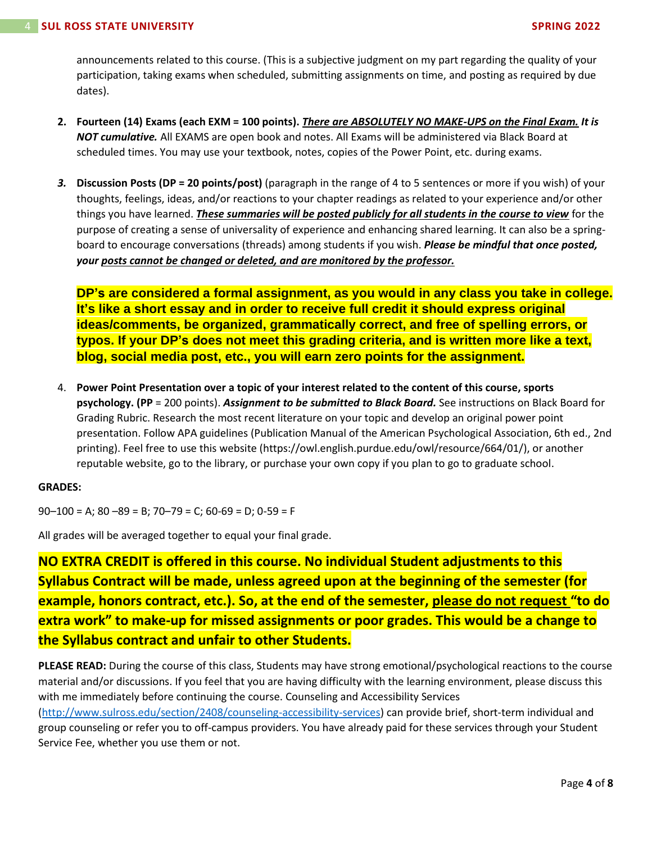announcements related to this course. (This is a subjective judgment on my part regarding the quality of your participation, taking exams when scheduled, submitting assignments on time, and posting as required by due dates).

- **2. Fourteen (14) Exams (each EXM = 100 points).** *There are ABSOLUTELY NO MAKE-UPS on the Final Exam. It is NOT cumulative.* All EXAMS are open book and notes. All Exams will be administered via Black Board at scheduled times. You may use your textbook, notes, copies of the Power Point, etc. during exams.
- *3.* **Discussion Posts (DP = 20 points/post)** (paragraph in the range of 4 to 5 sentences or more if you wish) of your thoughts, feelings, ideas, and/or reactions to your chapter readings as related to your experience and/or other things you have learned. *These summaries will be posted publicly for all students in the course to view* for the purpose of creating a sense of universality of experience and enhancing shared learning. It can also be a springboard to encourage conversations (threads) among students if you wish. *Please be mindful that once posted, your posts cannot be changed or deleted, and are monitored by the professor.*

**DP's are considered a formal assignment, as you would in any class you take in college. It's like a short essay and in order to receive full credit it should express original ideas/comments, be organized, grammatically correct, and free of spelling errors, or typos. If your DP's does not meet this grading criteria, and is written more like a text, blog, social media post, etc., you will earn zero points for the assignment.**

4. **Power Point Presentation over a topic of your interest related to the content of this course, sports psychology. (PP** = 200 points). *Assignment to be submitted to Black Board.* See instructions on Black Board for Grading Rubric. Research the most recent literature on your topic and develop an original power point presentation. Follow APA guidelines (Publication Manual of the American Psychological Association, 6th ed., 2nd printing). Feel free to use this website (https://owl.english.purdue.edu/owl/resource/664/01/), or another reputable website, go to the library, or purchase your own copy if you plan to go to graduate school.

## **GRADES:**

 $90-100 = A$ ;  $80-89 = B$ ;  $70-79 = C$ ;  $60-69 = D$ ;  $0-59 = F$ 

All grades will be averaged together to equal your final grade.

**NO EXTRA CREDIT is offered in this course. No individual Student adjustments to this Syllabus Contract will be made, unless agreed upon at the beginning of the semester (for example, honors contract, etc.). So, at the end of the semester, please do not request "to do extra work" to make-up for missed assignments or poor grades. This would be a change to the Syllabus contract and unfair to other Students.**

**PLEASE READ:** During the course of this class, Students may have strong emotional/psychological reactions to the course material and/or discussions. If you feel that you are having difficulty with the learning environment, please discuss this with me immediately before continuing the course. Counseling and Accessibility Services [\(http://www.sulross.edu/section/2408/counseling-accessibility-services\)](http://www.sulross.edu/section/2408/counseling-accessibility-services) can provide brief, short-term individual and

group counseling or refer you to off-campus providers. You have already paid for these services through your Student Service Fee, whether you use them or not.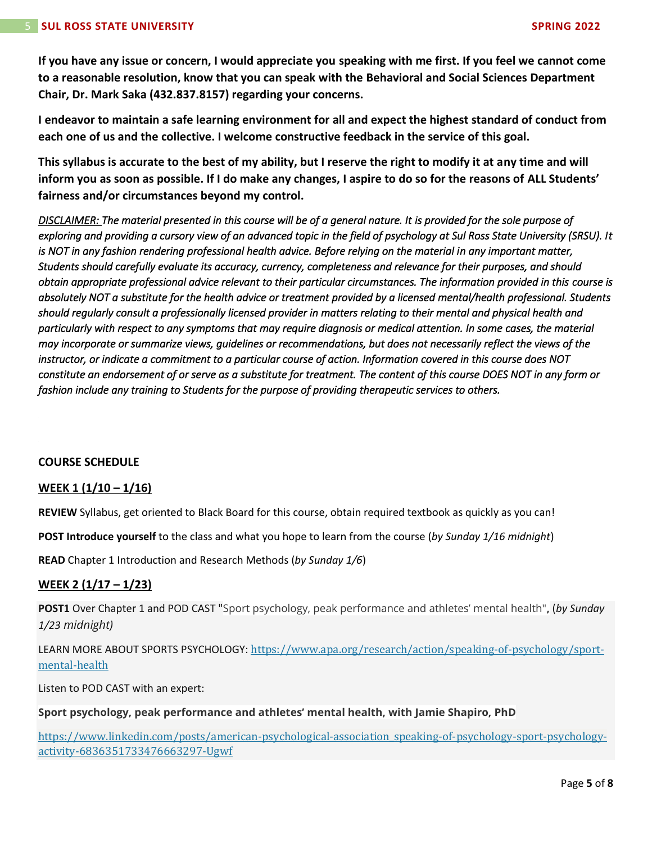**If you have any issue or concern, I would appreciate you speaking with me first. If you feel we cannot come to a reasonable resolution, know that you can speak with the Behavioral and Social Sciences Department Chair, Dr. Mark Saka (432.837.8157) regarding your concerns.**

**I endeavor to maintain a safe learning environment for all and expect the highest standard of conduct from each one of us and the collective. I welcome constructive feedback in the service of this goal.**

**This syllabus is accurate to the best of my ability, but I reserve the right to modify it at any time and will inform you as soon as possible. If I do make any changes, I aspire to do so for the reasons of ALL Students' fairness and/or circumstances beyond my control.**

*DISCLAIMER: The material presented in this course will be of a general nature. It is provided for the sole purpose of exploring and providing a cursory view of an advanced topic in the field of psychology at Sul Ross State University (SRSU). It*  is NOT in any fashion rendering professional health advice. Before relying on the material in any important matter, *Students should carefully evaluate its accuracy, currency, completeness and relevance for their purposes, and should obtain appropriate professional advice relevant to their particular circumstances. The information provided in this course is absolutely NOT a substitute for the health advice or treatment provided by a licensed mental/health professional. Students should regularly consult a professionally licensed provider in matters relating to their mental and physical health and particularly with respect to any symptoms that may require diagnosis or medical attention. In some cases, the material may incorporate or summarize views, guidelines or recommendations, but does not necessarily reflect the views of the instructor, or indicate a commitment to a particular course of action. Information covered in this course does NOT constitute an endorsement of or serve as a substitute for treatment. The content of this course DOES NOT in any form or fashion include any training to Students for the purpose of providing therapeutic services to others.* 

## **COURSE SCHEDULE**

## **WEEK 1 (1/10 – 1/16)**

**REVIEW** Syllabus, get oriented to Black Board for this course, obtain required textbook as quickly as you can!

**POST Introduce yourself** to the class and what you hope to learn from the course (*by Sunday 1/16 midnight*)

**READ** Chapter 1 Introduction and Research Methods (*by Sunday 1/6*)

## **WEEK 2 (1/17 – 1/23)**

**POST1** Over Chapter 1 and POD CAST "Sport psychology, peak performance and athletes' mental health"**,** (*by Sunday 1/23 midnight)* 

LEARN MORE ABOUT SPORTS PSYCHOLOGY: [https://www.apa.org/research/action/speaking-of-psychology/sport](https://www.apa.org/research/action/speaking-of-psychology/sport-mental-health)[mental-health](https://www.apa.org/research/action/speaking-of-psychology/sport-mental-health)

Listen to POD CAST with an expert:

**Sport psychology, peak performance and athletes' mental health, with Jamie Shapiro, PhD**

[https://www.linkedin.com/posts/american-psychological-association\\_speaking-of-psychology-sport-psychology](https://www.linkedin.com/posts/american-psychological-association_speaking-of-psychology-sport-psychology-activity-6836351733476663297-Ugwf)[activity-6836351733476663297-Ugwf](https://www.linkedin.com/posts/american-psychological-association_speaking-of-psychology-sport-psychology-activity-6836351733476663297-Ugwf)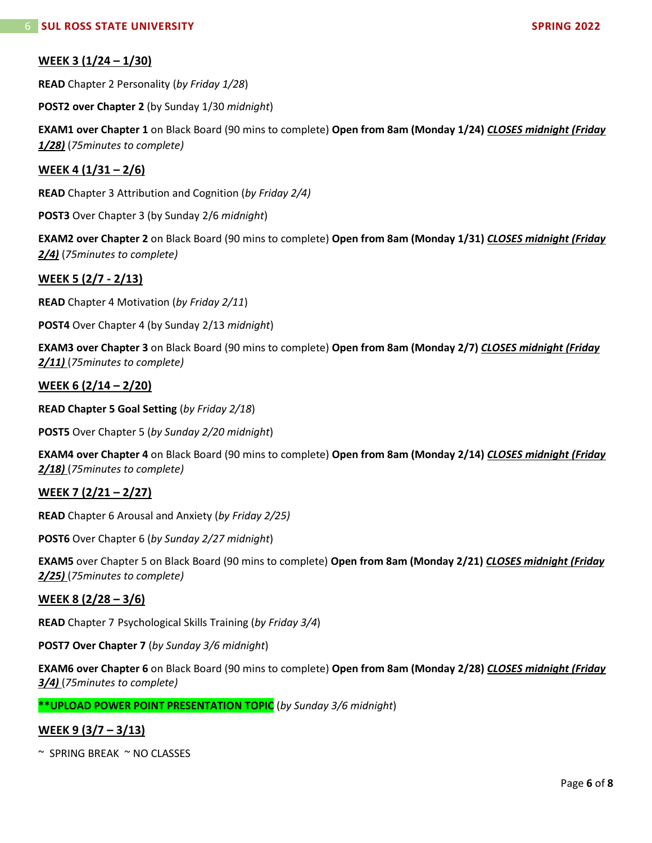## **WEEK 3 (1/24 – 1/30)**

**READ** Chapter 2 Personality (*by Friday 1/28*)

**POST2 over Chapter 2** (by Sunday 1/30 *midnight*)

**EXAM1 over Chapter 1** on Black Board (90 mins to complete) **Open from 8am (Monday 1/24)** *CLOSES midnight (Friday 1/28)* (*75minutes to complete)*

## **WEEK 4 (1/31 – 2/6)**

**READ** Chapter 3 Attribution and Cognition (*by Friday 2/4)*

**POST3** Over Chapter 3 (by Sunday 2/6 *midnight*)

**EXAM2 over Chapter 2** on Black Board (90 mins to complete) **Open from 8am (Monday 1/31)** *CLOSES midnight (Friday 2/4)* (*75minutes to complete)*

## **WEEK 5 (2/7 - 2/13)**

**READ** Chapter 4 Motivation (*by Friday 2/11*)

**POST4** Over Chapter 4 (by Sunday 2/13 *midnight*)

**EXAM3 over Chapter 3** on Black Board (90 mins to complete) **Open from 8am (Monday 2/7)** *CLOSES midnight (Friday 2/11)* (*75minutes to complete)*

## **WEEK 6 (2/14 – 2/20)**

**READ Chapter 5 Goal Setting** (*by Friday 2/18*)

**POST5** Over Chapter 5 (*by Sunday 2/20 midnight*)

**EXAM4 over Chapter 4** on Black Board (90 mins to complete) **Open from 8am (Monday 2/14)** *CLOSES midnight (Friday 2/18)* (*75minutes to complete)*

## **WEEK 7 (2/21 – 2/27)**

**READ** Chapter 6 Arousal and Anxiety (*by Friday 2/25)*

**POST6** Over Chapter 6 (*by Sunday 2/27 midnight*)

**EXAM5** over Chapter 5 on Black Board (90 mins to complete) **Open from 8am (Monday 2/21)** *CLOSES midnight (Friday 2/25)* (*75minutes to complete)*

## **WEEK 8 (2/28 – 3/6)**

**READ** Chapter 7 Psychological Skills Training (*by Friday 3/4*)

**POST7 Over Chapter 7** (*by Sunday 3/6 midnight*)

**EXAM6 over Chapter 6** on Black Board (90 mins to complete) **Open from 8am (Monday 2/28)** *CLOSES midnight (Friday 3/4)* (*75minutes to complete)*

**\*\*UPLOAD POWER POINT PRESENTATION TOPIC** (*by Sunday 3/6 midnight*)

## **WEEK 9 (3/7 – 3/13)**

 $~\sim$  SPRING BREAK  $~\sim$  NO CLASSES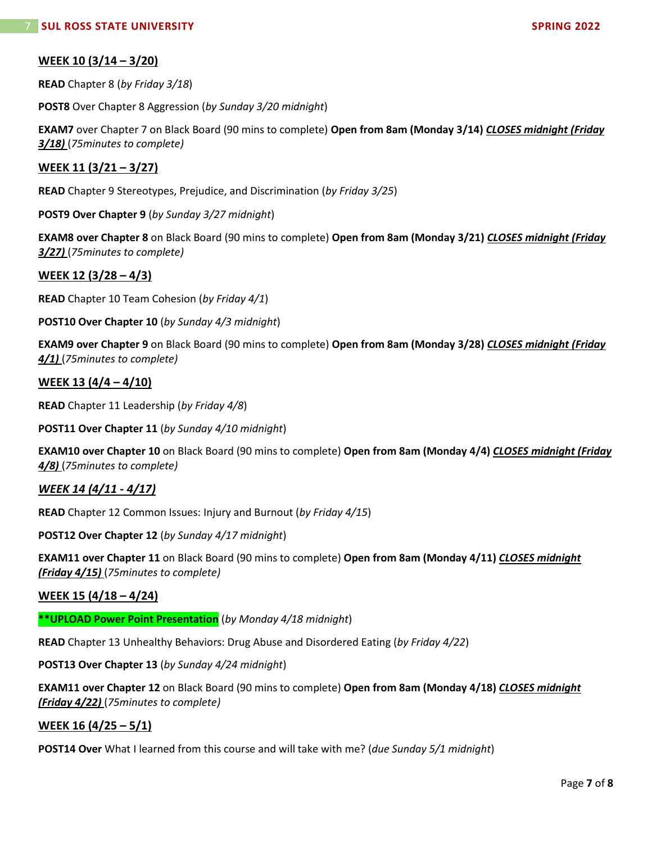## **WEEK 10 (3/14 – 3/20)**

**READ** Chapter 8 (*by Friday 3/18*)

**POST8** Over Chapter 8 Aggression (*by Sunday 3/20 midnight*)

**EXAM7** over Chapter 7 on Black Board (90 mins to complete) **Open from 8am (Monday 3/14)** *CLOSES midnight (Friday 3/18)* (*75minutes to complete)*

## **WEEK 11 (3/21 – 3/27)**

**READ** Chapter 9 Stereotypes, Prejudice, and Discrimination (*by Friday 3/25*)

**POST9 Over Chapter 9** (*by Sunday 3/27 midnight*)

**EXAM8 over Chapter 8** on Black Board (90 mins to complete) **Open from 8am (Monday 3/21)** *CLOSES midnight (Friday 3/27)* (*75minutes to complete)*

## **WEEK 12 (3/28 – 4/3)**

**READ** Chapter 10 Team Cohesion (*by Friday 4/1*)

**POST10 Over Chapter 10** (*by Sunday 4/3 midnight*)

**EXAM9 over Chapter 9** on Black Board (90 mins to complete) **Open from 8am (Monday 3/28)** *CLOSES midnight (Friday 4/1)* (*75minutes to complete)*

## **WEEK 13 (4/4 – 4/10)**

**READ** Chapter 11 Leadership (*by Friday 4/8*)

**POST11 Over Chapter 11** (*by Sunday 4/10 midnight*)

**EXAM10 over Chapter 10** on Black Board (90 mins to complete) **Open from 8am (Monday 4/4)** *CLOSES midnight (Friday 4/8)* (*75minutes to complete)*

## *WEEK 14 (4/11 - 4/17)*

**READ** Chapter 12 Common Issues: Injury and Burnout (*by Friday 4/15*)

**POST12 Over Chapter 12** (*by Sunday 4/17 midnight*)

**EXAM11 over Chapter 11** on Black Board (90 mins to complete) **Open from 8am (Monday 4/11)** *CLOSES midnight (Friday 4/15)* (*75minutes to complete)*

## **WEEK 15 (4/18 – 4/24)**

**\*\*UPLOAD Power Point Presentation** (*by Monday 4/18 midnight*)

**READ** Chapter 13 Unhealthy Behaviors: Drug Abuse and Disordered Eating (*by Friday 4/22*)

**POST13 Over Chapter 13** (*by Sunday 4/24 midnight*)

**EXAM11 over Chapter 12** on Black Board (90 mins to complete) **Open from 8am (Monday 4/18)** *CLOSES midnight (Friday 4/22)* (*75minutes to complete)*

## **WEEK 16 (4/25 – 5/1)**

**POST14 Over** What I learned from this course and will take with me? (*due Sunday 5/1 midnight*)